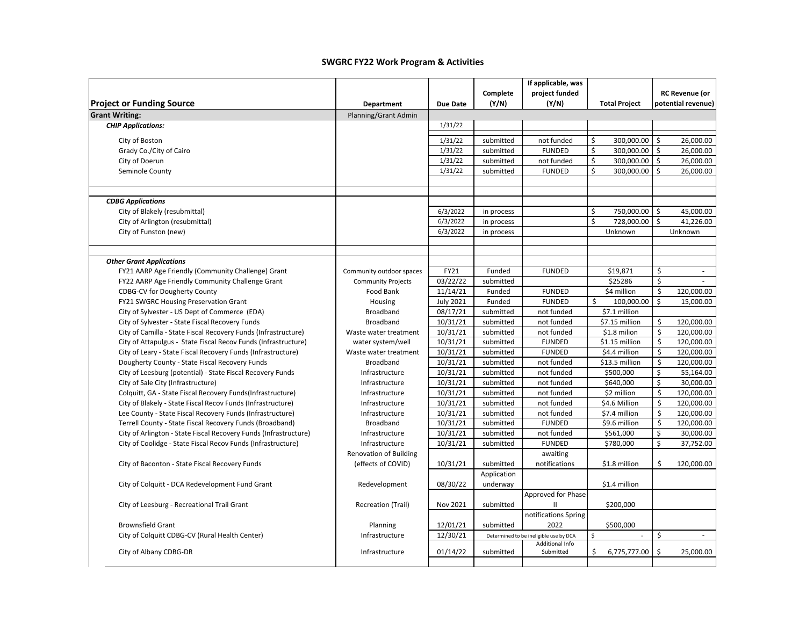|                                                                                                                |                                    |                      |                         | If applicable, was                     |                                 |          |                          |
|----------------------------------------------------------------------------------------------------------------|------------------------------------|----------------------|-------------------------|----------------------------------------|---------------------------------|----------|--------------------------|
|                                                                                                                |                                    |                      | Complete                | project funded                         |                                 |          | <b>RC Revenue (or</b>    |
| <b>Project or Funding Source</b>                                                                               | Department                         | <b>Due Date</b>      | (Y/N)                   | (Y/N)                                  | <b>Total Project</b>            |          | potential revenue)       |
| <b>Grant Writing:</b>                                                                                          | Planning/Grant Admin               |                      |                         |                                        |                                 |          |                          |
| <b>CHIP Applications:</b>                                                                                      |                                    | 1/31/22              |                         |                                        |                                 |          |                          |
| City of Boston                                                                                                 |                                    | 1/31/22              | submitted               | not funded                             | \$<br>300,000.00                | \$       | 26,000.00                |
| Grady Co./City of Cairo                                                                                        |                                    | 1/31/22              | submitted               | <b>FUNDED</b>                          | \$<br>300,000.00                | \$       | 26,000.00                |
| City of Doerun                                                                                                 |                                    | 1/31/22              | submitted               | not funded                             | \$<br>300,000.00                | \$       | 26,000.00                |
| Seminole County                                                                                                |                                    | 1/31/22              | submitted               | <b>FUNDED</b>                          | \$<br>300,000.00                | \$       | 26,000.00                |
| <b>CDBG Applications</b>                                                                                       |                                    |                      |                         |                                        |                                 |          |                          |
| City of Blakely (resubmittal)                                                                                  |                                    | 6/3/2022             | in process              |                                        | \$<br>750,000.00                | \$       | 45,000.00                |
| City of Arlington (resubmittal)                                                                                |                                    | 6/3/2022             | in process              |                                        | \$<br>728,000.00                | Ś        | 41,226.00                |
| City of Funston (new)                                                                                          |                                    | 6/3/2022             | in process              |                                        | Unknown                         |          | Unknown                  |
| <b>Other Grant Applications</b>                                                                                |                                    |                      |                         |                                        |                                 |          |                          |
| FY21 AARP Age Friendly (Community Challenge) Grant                                                             | Community outdoor spaces           | FY21                 | Funded                  | <b>FUNDED</b>                          | \$19,871                        | \$       |                          |
| FY22 AARP Age Friendly Community Challenge Grant                                                               | <b>Community Projects</b>          | 03/22/22             | submitted               |                                        | \$25286                         | \$       |                          |
| <b>CDBG-CV for Dougherty County</b>                                                                            | Food Bank                          | 11/14/21             | Funded                  | <b>FUNDED</b>                          | \$4 million                     | \$       | 120,000.00               |
| <b>FY21 SWGRC Housing Preservation Grant</b>                                                                   | Housing                            | <b>July 2021</b>     | Funded                  | <b>FUNDED</b>                          | \$<br>100,000.00                | \$       | 15,000.00                |
| City of Sylvester - US Dept of Commerce (EDA)                                                                  | Broadband                          | 08/17/21             | submitted               | not funded                             | \$7.1 million                   |          |                          |
| City of Sylvester - State Fiscal Recovery Funds                                                                | <b>Broadband</b>                   | 10/31/21             | submitted               | not funded                             | \$7.15 million                  | \$       | 120,000.00               |
| City of Camilla - State Fiscal Recovery Funds (Infrastructure)                                                 | Waste water treatment              | 10/31/21             | submitted               | not funded                             | \$1.8 milion                    | \$       | 120,000.00               |
| City of Attapulgus - State Fiscal Recov Funds (Infrastructure)                                                 | water system/well                  | 10/31/21             | submitted               | <b>FUNDED</b>                          | \$1.15 million                  | \$<br>\$ | 120,000.00               |
| City of Leary - State Fiscal Recovery Funds (Infrastructure)<br>Dougherty County - State Fiscal Recovery Funds | Waste water treatment<br>Broadband | 10/31/21<br>10/31/21 | submitted<br>submitted  | <b>FUNDED</b><br>not funded            | \$4.4 million<br>\$13.5 million | \$       | 120,000.00<br>120,000.00 |
| City of Leesburg (potential) - State Fiscal Recovery Funds                                                     | Infrastructure                     | 10/31/21             | submitted               | not funded                             | \$500,000                       | \$       | 55,164.00                |
| City of Sale City (Infrastructure)                                                                             | Infrastructure                     | 10/31/21             | submitted               | not funded                             | \$640,000                       | \$       | 30,000.00                |
| Colquitt, GA - State Fiscal Recovery Funds(Infrastructure)                                                     | Infrastructure                     | 10/31/21             | submitted               | not funded                             | \$2 million                     | \$       | 120,000.00               |
| City of Blakely - State Fiscal Recov Funds (Infrastructure)                                                    | Infrastructure                     | 10/31/21             | submitted               | not funded                             | \$4.6 Million                   | \$       | 120,000.00               |
| Lee County - State Fiscal Recovery Funds (Infrastructure)                                                      | Infrastructure                     | 10/31/21             | submitted               | not funded                             | \$7.4 million                   | \$       | 120,000.00               |
| Terrell County - State Fiscal Recovery Funds (Broadband)                                                       | <b>Broadband</b>                   | 10/31/21             | submitted               | <b>FUNDED</b>                          | \$9.6 million                   | \$       | 120,000.00               |
| City of Arlington - State Fiscal Recovery Funds (Infrastructure)                                               | Infrastructure                     | 10/31/21             | submitted               | not funded                             | \$561,000                       | \$       | 30,000.00                |
| City of Coolidge - State Fiscal Recov Funds (Infrastructure)                                                   | Infrastructure                     | 10/31/21             | submitted               | <b>FUNDED</b>                          | \$780,000                       | \$       | 37,752.00                |
|                                                                                                                | <b>Renovation of Building</b>      |                      |                         | awaiting                               |                                 |          |                          |
| City of Baconton - State Fiscal Recovery Funds                                                                 | (effects of COVID)                 | 10/31/21             | submitted               | notifications                          | \$1.8 million                   | \$       | 120,000.00               |
| City of Colquitt - DCA Redevelopment Fund Grant                                                                | Redevelopment                      | 08/30/22             | Application<br>underway |                                        | \$1.4 million                   |          |                          |
| City of Leesburg - Recreational Trail Grant                                                                    | Recreation (Trail)                 | Nov 2021             | submitted               | <b>Approved for Phase</b><br>Ш         | \$200,000                       |          |                          |
| <b>Brownsfield Grant</b>                                                                                       | Planning                           | 12/01/21             | submitted               | notifications Spring<br>2022           | \$500,000                       |          |                          |
| City of Colquitt CDBG-CV (Rural Health Center)                                                                 | Infrastructure                     | 12/30/21             |                         | Determined to be ineligible use by DCA | \$                              | \$       | ×.                       |
| City of Albany CDBG-DR                                                                                         | Infrastructure                     | 01/14/22             | submitted               | <b>Additional Info</b><br>Submitted    | \$<br>6,775,777.00              | \$       | 25,000.00                |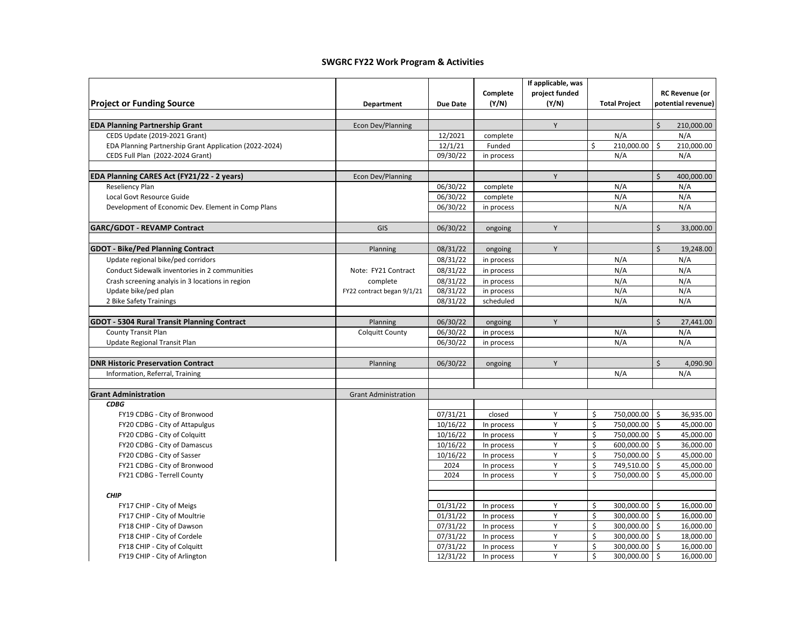|                                                                                     |                             |                 |                   | If applicable, was      |                      |                                             |
|-------------------------------------------------------------------------------------|-----------------------------|-----------------|-------------------|-------------------------|----------------------|---------------------------------------------|
| <b>Project or Funding Source</b>                                                    |                             | <b>Due Date</b> | Complete<br>(Y/N) | project funded<br>(Y/N) | <b>Total Project</b> | <b>RC Revenue (or</b><br>potential revenue) |
|                                                                                     | Department                  |                 |                   |                         |                      |                                             |
| <b>EDA Planning Partnership Grant</b>                                               | <b>Econ Dev/Planning</b>    |                 |                   | Y                       |                      | \$<br>210,000.00                            |
| CEDS Update (2019-2021 Grant)                                                       |                             | 12/2021         | complete          |                         | N/A                  | N/A                                         |
| EDA Planning Partnership Grant Application (2022-2024)                              |                             | 12/1/21         | Funded            |                         | \$<br>210,000.00     | \$<br>210,000.00                            |
| CEDS Full Plan (2022-2024 Grant)                                                    |                             | 09/30/22        | in process        |                         | N/A                  | N/A                                         |
|                                                                                     |                             |                 |                   |                         |                      |                                             |
| EDA Planning CARES Act (FY21/22 - 2 years)                                          | Econ Dev/Planning           |                 |                   | Y                       |                      | $\mathsf{\hat{S}}$<br>400,000.00            |
| Reseliency Plan                                                                     |                             | 06/30/22        | complete          |                         | N/A                  | N/A                                         |
| Local Govt Resource Guide                                                           |                             | 06/30/22        | complete          |                         | N/A                  | N/A                                         |
| Development of Economic Dev. Element in Comp Plans                                  |                             | 06/30/22        | in process        |                         | N/A                  | N/A                                         |
| <b>GARC/GDOT - REVAMP Contract</b>                                                  | GIS                         | 06/30/22        | ongoing           | Y                       |                      | \$<br>33,000.00                             |
|                                                                                     |                             |                 |                   | Y                       |                      | \$<br>19,248.00                             |
| <b>GDOT - Bike/Ped Planning Contract</b>                                            | Planning                    | 08/31/22        | ongoing           |                         | N/A                  | N/A                                         |
| Update regional bike/ped corridors<br>Conduct Sidewalk inventories in 2 communities | Note: FY21 Contract         | 08/31/22        | in process        |                         | N/A                  | N/A                                         |
|                                                                                     |                             | 08/31/22        | in process        |                         |                      |                                             |
| Crash screening analyis in 3 locations in region                                    | complete                    | 08/31/22        | in process        |                         | N/A                  | N/A                                         |
| Update bike/ped plan                                                                | FY22 contract began 9/1/21  | 08/31/22        | in process        |                         | N/A                  | N/A                                         |
| 2 Bike Safety Trainings                                                             |                             | 08/31/22        | scheduled         |                         | N/A                  | N/A                                         |
| <b>GDOT - 5304 Rural Transit Planning Contract</b>                                  | Planning                    | 06/30/22        | ongoing           | Y                       |                      | \$<br>27,441.00                             |
| <b>County Transit Plan</b>                                                          | <b>Colquitt County</b>      | 06/30/22        | in process        |                         | N/A                  | N/A                                         |
| Update Regional Transit Plan                                                        |                             | 06/30/22        | in process        |                         | N/A                  | N/A                                         |
| <b>DNR Historic Preservation Contract</b>                                           | Planning                    | 06/30/22        | ongoing           | Y                       |                      | $\mathsf{\dot{S}}$<br>4,090.90              |
| Information, Referral, Training                                                     |                             |                 |                   |                         | N/A                  | N/A                                         |
|                                                                                     |                             |                 |                   |                         |                      |                                             |
| <b>Grant Administration</b>                                                         | <b>Grant Administration</b> |                 |                   |                         |                      |                                             |
| <b>CDBG</b>                                                                         |                             |                 |                   |                         |                      |                                             |
| FY19 CDBG - City of Bronwood                                                        |                             | 07/31/21        | closed            | Y                       | \$<br>750,000.00     | l\$<br>36,935.00                            |
| FY20 CDBG - City of Attapulgus                                                      |                             | 10/16/22        | In process        | Y                       | \$<br>750,000.00     | $\mathsf{\hat{S}}$<br>45,000.00             |
| FY20 CDBG - City of Colquitt                                                        |                             | 10/16/22        | In process        | Y                       | \$<br>750,000.00     | \$<br>45,000.00                             |
| FY20 CDBG - City of Damascus                                                        |                             | 10/16/22        | In process        | Y                       | \$<br>600,000.00     | \$<br>36,000.00                             |
| FY20 CDBG - City of Sasser                                                          |                             | 10/16/22        | In process        | Y                       | \$<br>750,000.00     | \$<br>45,000.00                             |
| FY21 CDBG - City of Bronwood                                                        |                             | 2024            | In process        | Y                       | \$<br>749,510.00     | \$<br>45,000.00                             |
| FY21 CDBG - Terrell County                                                          |                             | 2024            | In process        | Y                       | \$<br>750,000.00     | \$<br>45,000.00                             |
| <b>CHIP</b>                                                                         |                             |                 |                   |                         |                      |                                             |
| FY17 CHIP - City of Meigs                                                           |                             | 01/31/22        | In process        | Y                       | \$<br>300,000.00     | 16,000.00<br>\$                             |
| FY17 CHIP - City of Moultrie                                                        |                             | 01/31/22        | In process        | Y                       | \$<br>300,000.00     | \$<br>16,000.00                             |
| FY18 CHIP - City of Dawson                                                          |                             | 07/31/22        | In process        | Υ                       | \$<br>300,000.00     | $\ddot{\mathsf{S}}$<br>16,000.00            |
| FY18 CHIP - City of Cordele                                                         |                             | 07/31/22        | In process        | Y                       | \$<br>300,000.00     | \$<br>18,000.00                             |
| FY18 CHIP - City of Colquitt                                                        |                             | 07/31/22        | In process        | Υ                       | \$<br>300,000.00     | \$<br>16,000.00                             |
| FY19 CHIP - City of Arlington                                                       |                             | 12/31/22        | In process        | Y                       | \$<br>300,000.00     | $\mathsf{\$}$<br>16,000.00                  |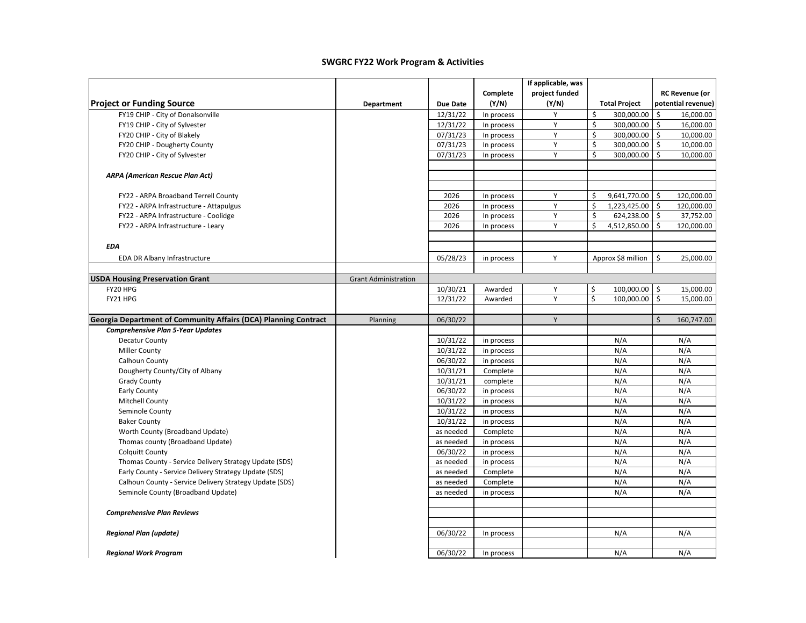|                                                                 |                             |                 |            | If applicable, was |                      |                                   |
|-----------------------------------------------------------------|-----------------------------|-----------------|------------|--------------------|----------------------|-----------------------------------|
|                                                                 |                             |                 | Complete   | project funded     |                      | <b>RC Revenue (or</b>             |
| <b>Project or Funding Source</b>                                | Department                  | <b>Due Date</b> | (Y/N)      | (Y/N)              | <b>Total Project</b> | potential revenue)                |
| FY19 CHIP - City of Donalsonville                               |                             | 12/31/22        | In process | Y                  | \$<br>300.000.00     | \$<br>16,000.00                   |
| FY19 CHIP - City of Sylvester                                   |                             | 12/31/22        | In process | Υ                  | \$<br>300,000.00     | \$<br>16,000.00                   |
| FY20 CHIP - City of Blakely                                     |                             | 07/31/23        | In process | Υ                  | \$<br>300,000.00     | $\mathsf{\$}$<br>10,000.00        |
| FY20 CHIP - Dougherty County                                    |                             | 07/31/23        | In process | Y                  | \$<br>300,000.00     | $\zeta$<br>10,000.00              |
| FY20 CHIP - City of Sylvester                                   |                             | 07/31/23        | In process | Y                  | \$<br>300,000.00     | Ś.<br>10,000.00                   |
|                                                                 |                             |                 |            |                    |                      |                                   |
| <b>ARPA (American Rescue Plan Act)</b>                          |                             |                 |            |                    |                      |                                   |
|                                                                 |                             |                 |            |                    |                      |                                   |
| FY22 - ARPA Broadband Terrell County                            |                             | 2026            | In process | Υ                  | \$<br>9,641,770.00   | \$<br>120,000.00                  |
| FY22 - ARPA Infrastructure - Attapulgus                         |                             | 2026            | In process | Y                  | \$<br>1,223,425.00   | $\ddot{\mathsf{S}}$<br>120,000.00 |
| FY22 - ARPA Infrastructure - Coolidge                           |                             | 2026            | In process | Υ                  | \$<br>624,238.00     | \$<br>37,752.00                   |
| FY22 - ARPA Infrastructure - Leary                              |                             | 2026            | In process | Y                  | Ś.<br>4,512,850.00   | $\zeta$<br>120,000.00             |
|                                                                 |                             |                 |            |                    |                      |                                   |
| <b>EDA</b>                                                      |                             |                 |            |                    |                      |                                   |
| EDA DR Albany Infrastructure                                    |                             | 05/28/23        | in process | Y                  | Approx \$8 million   | Ś.<br>25,000.00                   |
|                                                                 |                             |                 |            |                    |                      |                                   |
| <b>USDA Housing Preservation Grant</b>                          | <b>Grant Administration</b> |                 |            |                    |                      |                                   |
| FY20 HPG                                                        |                             | 10/30/21        | Awarded    | Y                  | \$<br>100,000.00     | $\ddot{\mathsf{s}}$<br>15,000.00  |
| FY21 HPG                                                        |                             | 12/31/22        | Awarded    | Y                  | \$<br>100,000.00     | \$<br>15,000.00                   |
|                                                                 |                             |                 |            |                    |                      |                                   |
| Georgia Department of Community Affairs (DCA) Planning Contract | Planning                    | 06/30/22        |            | Y                  |                      | $\zeta$<br>160,747.00             |
| <b>Comprehensive Plan 5-Year Updates</b>                        |                             |                 |            |                    |                      |                                   |
| <b>Decatur County</b>                                           |                             | 10/31/22        | in process |                    | N/A                  | N/A                               |
| <b>Miller County</b>                                            |                             | 10/31/22        | in process |                    | N/A                  | N/A                               |
| Calhoun County                                                  |                             | 06/30/22        | in process |                    | N/A                  | N/A                               |
| Dougherty County/City of Albany                                 |                             | 10/31/21        | Complete   |                    | N/A                  | N/A                               |
| <b>Grady County</b>                                             |                             | 10/31/21        | complete   |                    | N/A                  | N/A                               |
| Early County                                                    |                             | 06/30/22        | in process |                    | N/A                  | N/A                               |
| <b>Mitchell County</b>                                          |                             | 10/31/22        | in process |                    | N/A                  | N/A                               |
| Seminole County                                                 |                             | 10/31/22        | in process |                    | N/A                  | N/A                               |
| <b>Baker County</b>                                             |                             | 10/31/22        | in process |                    | N/A                  | N/A                               |
| Worth County (Broadband Update)                                 |                             | as needed       | Complete   |                    | N/A                  | N/A                               |
| Thomas county (Broadband Update)                                |                             | as needed       | in process |                    | N/A                  | N/A                               |
| <b>Colquitt County</b>                                          |                             | 06/30/22        | in process |                    | N/A                  | N/A                               |
| Thomas County - Service Delivery Strategy Update (SDS)          |                             | as needed       | in process |                    | N/A                  | N/A                               |
| Early County - Service Delivery Strategy Update (SDS)           |                             | as needed       | Complete   |                    | N/A                  | N/A                               |
| Calhoun County - Service Delivery Strategy Update (SDS)         |                             | as needed       | Complete   |                    | N/A                  | N/A                               |
| Seminole County (Broadband Update)                              |                             | as needed       | in process |                    | N/A                  | N/A                               |
|                                                                 |                             |                 |            |                    |                      |                                   |
| <b>Comprehensive Plan Reviews</b>                               |                             |                 |            |                    |                      |                                   |
|                                                                 |                             |                 |            |                    |                      |                                   |
| <b>Regional Plan (update)</b>                                   |                             | 06/30/22        | In process |                    | N/A                  | N/A                               |
|                                                                 |                             |                 |            |                    |                      |                                   |
| <b>Regional Work Program</b>                                    |                             | 06/30/22        | In process |                    | N/A                  | N/A                               |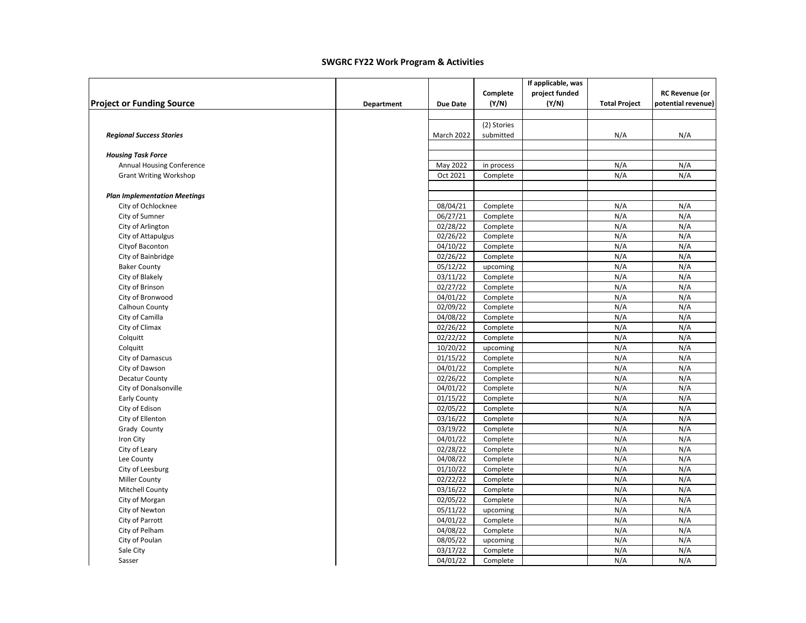|                                     |            |                 |             | If applicable, was |                      |                       |
|-------------------------------------|------------|-----------------|-------------|--------------------|----------------------|-----------------------|
|                                     |            |                 | Complete    | project funded     |                      | <b>RC Revenue (or</b> |
| <b>Project or Funding Source</b>    | Department | <b>Due Date</b> | (Y/N)       | (Y/N)              | <b>Total Project</b> | potential revenue)    |
|                                     |            |                 |             |                    |                      |                       |
|                                     |            |                 | (2) Stories |                    |                      |                       |
| <b>Regional Success Stories</b>     |            | March 2022      | submitted   |                    | N/A                  | N/A                   |
| <b>Housing Task Force</b>           |            |                 |             |                    |                      |                       |
| Annual Housing Conference           |            | May 2022        | in process  |                    | N/A                  | N/A                   |
| <b>Grant Writing Workshop</b>       |            | Oct 2021        | Complete    |                    | N/A                  | N/A                   |
|                                     |            |                 |             |                    |                      |                       |
| <b>Plan Implementation Meetings</b> |            |                 |             |                    |                      |                       |
| City of Ochlocknee                  |            | 08/04/21        | Complete    |                    | N/A                  | N/A                   |
| City of Sumner                      |            | 06/27/21        | Complete    |                    | N/A                  | N/A                   |
| City of Arlington                   |            | 02/28/22        | Complete    |                    | N/A                  | N/A                   |
| City of Attapulgus                  |            | 02/26/22        | Complete    |                    | N/A                  | N/A                   |
| Cityof Baconton                     |            | 04/10/22        | Complete    |                    | N/A                  | N/A                   |
| City of Bainbridge                  |            | 02/26/22        | Complete    |                    | N/A                  | N/A                   |
| <b>Baker County</b>                 |            | 05/12/22        | upcoming    |                    | N/A                  | N/A                   |
| City of Blakely                     |            | 03/11/22        | Complete    |                    | N/A                  | N/A                   |
| City of Brinson                     |            | 02/27/22        | Complete    |                    | N/A                  | N/A                   |
| City of Bronwood                    |            | 04/01/22        | Complete    |                    | N/A                  | N/A                   |
| Calhoun County                      |            | 02/09/22        | Complete    |                    | N/A                  | N/A                   |
| City of Camilla                     |            | 04/08/22        | Complete    |                    | N/A                  | N/A                   |
| City of Climax                      |            | 02/26/22        | Complete    |                    | N/A                  | N/A                   |
| Colquitt                            |            | 02/22/22        |             |                    | N/A                  | N/A                   |
|                                     |            |                 | Complete    |                    |                      |                       |
| Colquitt                            |            | 10/20/22        | upcoming    |                    | N/A                  | N/A                   |
| City of Damascus                    |            | 01/15/22        | Complete    |                    | N/A                  | N/A                   |
| City of Dawson                      |            | 04/01/22        | Complete    |                    | N/A                  | N/A                   |
| <b>Decatur County</b>               |            | 02/26/22        | Complete    |                    | N/A                  | N/A                   |
| City of Donalsonville               |            | 04/01/22        | Complete    |                    | N/A                  | N/A                   |
| Early County                        |            | 01/15/22        | Complete    |                    | N/A                  | N/A                   |
| City of Edison                      |            | 02/05/22        | Complete    |                    | N/A                  | N/A                   |
| City of Ellenton                    |            | 03/16/22        | Complete    |                    | N/A                  | N/A                   |
| Grady County                        |            | 03/19/22        | Complete    |                    | N/A                  | N/A                   |
| Iron City                           |            | 04/01/22        | Complete    |                    | N/A                  | N/A                   |
| City of Leary                       |            | 02/28/22        | Complete    |                    | N/A                  | N/A                   |
| Lee County                          |            | 04/08/22        | Complete    |                    | N/A                  | N/A                   |
| City of Leesburg                    |            | 01/10/22        | Complete    |                    | N/A                  | N/A                   |
| <b>Miller County</b>                |            | 02/22/22        | Complete    |                    | N/A                  | N/A                   |
| Mitchell County                     |            | 03/16/22        | Complete    |                    | N/A                  | N/A                   |
| City of Morgan                      |            | 02/05/22        | Complete    |                    | N/A                  | N/A                   |
| City of Newton                      |            | 05/11/22        | upcoming    |                    | N/A                  | N/A                   |
| City of Parrott                     |            | 04/01/22        | Complete    |                    | N/A                  | N/A                   |
|                                     |            |                 |             |                    |                      |                       |
| City of Pelham                      |            | 04/08/22        | Complete    |                    | N/A                  | N/A                   |
| City of Poulan                      |            | 08/05/22        | upcoming    |                    | N/A                  | N/A                   |
| Sale City                           |            | 03/17/22        | Complete    |                    | N/A                  | N/A                   |
| Sasser                              |            | 04/01/22        | Complete    |                    | N/A                  | N/A                   |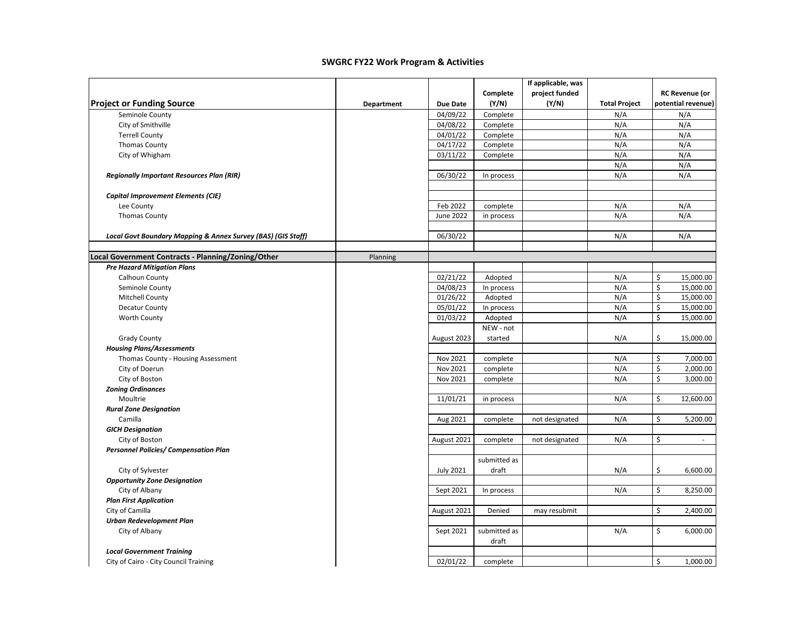|                                                              |            |                  |                       | If applicable, was |                      |                                       |
|--------------------------------------------------------------|------------|------------------|-----------------------|--------------------|----------------------|---------------------------------------|
|                                                              |            |                  | Complete              | project funded     |                      | <b>RC Revenue (or</b>                 |
| <b>Project or Funding Source</b>                             | Department | <b>Due Date</b>  | (Y/N)                 | (Y/N)              | <b>Total Project</b> | potential revenue)                    |
| Seminole County                                              |            | 04/09/22         | Complete              |                    | N/A                  | N/A                                   |
| City of Smithville                                           |            | 04/08/22         | Complete              |                    | N/A                  | N/A                                   |
| <b>Terrell County</b>                                        |            | 04/01/22         | Complete              |                    | N/A                  | N/A                                   |
| <b>Thomas County</b>                                         |            | 04/17/22         | Complete              |                    | N/A                  | N/A                                   |
| City of Whigham                                              |            | 03/11/22         | Complete              |                    | N/A                  | N/A                                   |
|                                                              |            |                  |                       |                    | N/A                  | N/A                                   |
| <b>Regionally Important Resources Plan (RIR)</b>             |            | 06/30/22         | In process            |                    | N/A                  | N/A                                   |
|                                                              |            |                  |                       |                    |                      |                                       |
| <b>Capital Improvement Elements (CIE)</b>                    |            |                  |                       |                    |                      |                                       |
| Lee County                                                   |            | Feb 2022         | complete              |                    | N/A                  | N/A                                   |
| <b>Thomas County</b>                                         |            | June 2022        | in process            |                    | N/A                  | N/A                                   |
|                                                              |            |                  |                       |                    |                      |                                       |
| Local Govt Boundary Mapping & Annex Survey (BAS) (GIS Staff) |            | 06/30/22         |                       |                    | N/A                  | N/A                                   |
|                                                              |            |                  |                       |                    |                      |                                       |
| Local Government Contracts - Planning/Zoning/Other           | Planning   |                  |                       |                    |                      |                                       |
| <b>Pre Hazard Mitigation Plans</b>                           |            |                  |                       |                    |                      |                                       |
| Calhoun County                                               |            | 02/21/22         | Adopted               |                    | N/A                  | \$<br>15,000.00                       |
| Seminole County                                              |            | 04/08/23         | In process            |                    | N/A                  | \$<br>15,000.00                       |
| <b>Mitchell County</b>                                       |            | 01/26/22         | Adopted               |                    | N/A                  | \$<br>15,000.00                       |
| <b>Decatur County</b>                                        |            | 05/01/22         | In process            |                    | N/A                  | \$<br>15,000.00                       |
| <b>Worth County</b>                                          |            | 01/03/22         | Adopted               |                    | N/A                  | \$<br>15,000.00                       |
|                                                              |            |                  | NEW - not             |                    |                      |                                       |
| <b>Grady County</b>                                          |            | August 2023      | started               |                    | N/A                  | \$<br>15,000.00                       |
| <b>Housing Plans/Assessments</b>                             |            |                  |                       |                    |                      |                                       |
| Thomas County - Housing Assessment                           |            | Nov 2021         | complete              |                    | N/A                  | \$<br>7,000.00                        |
| City of Doerun                                               |            | Nov 2021         | complete              |                    | N/A                  | \$<br>2,000.00                        |
| City of Boston                                               |            | Nov 2021         | complete              |                    | N/A                  | $\boldsymbol{\mathsf{S}}$<br>3,000.00 |
| <b>Zoning Ordinances</b>                                     |            |                  |                       |                    |                      |                                       |
| Moultrie                                                     |            | 11/01/21         | in process            |                    | N/A                  | \$<br>12,600.00                       |
| <b>Rural Zone Designation</b>                                |            |                  |                       |                    |                      |                                       |
| Camilla                                                      |            | Aug 2021         | complete              | not designated     | N/A                  | \$<br>5,200.00                        |
| <b>GICH Designation</b>                                      |            |                  |                       |                    |                      |                                       |
| City of Boston                                               |            | August 2021      | complete              | not designated     | N/A                  | \$<br>$\sim$                          |
| <b>Personnel Policies/ Compensation Plan</b>                 |            |                  |                       |                    |                      |                                       |
|                                                              |            |                  | submitted as          |                    |                      |                                       |
| City of Sylvester                                            |            | <b>July 2021</b> | draft                 |                    | N/A                  | \$<br>6,600.00                        |
| <b>Opportunity Zone Designation</b>                          |            |                  |                       |                    |                      |                                       |
| City of Albany                                               |            | Sept 2021        | In process            |                    | N/A                  | \$<br>8,250.00                        |
| <b>Plan First Application</b>                                |            |                  |                       |                    |                      |                                       |
| City of Camilla                                              |            | August 2021      | Denied                | may resubmit       |                      | \$<br>2,400.00                        |
| Urban Redevelopment Plan                                     |            |                  |                       |                    |                      |                                       |
| City of Albany                                               |            | Sept 2021        | submitted as<br>draft |                    | N/A                  | \$<br>6,000.00                        |
| <b>Local Government Training</b>                             |            |                  |                       |                    |                      |                                       |
| City of Cairo - City Council Training                        |            | 02/01/22         | complete              |                    |                      | \$<br>1,000.00                        |